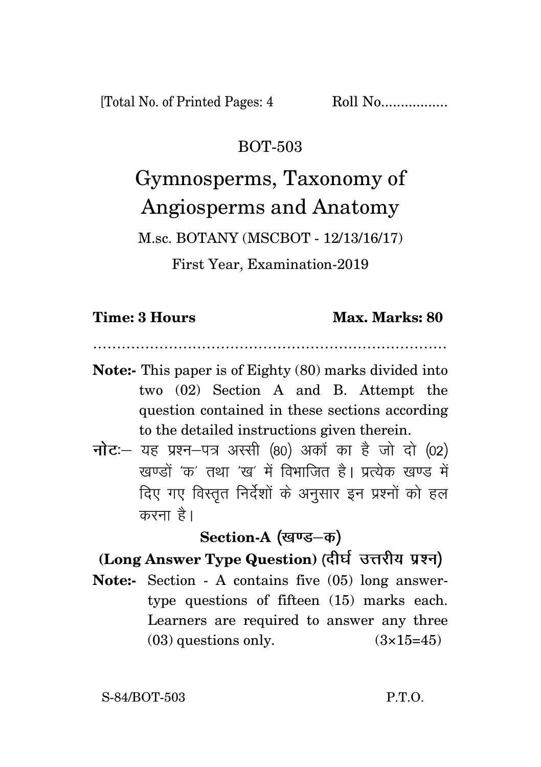### BOT-503

# Gymnosperms, Taxonomy of Angiosperms and Anatomy

M.sc. BOTANY (MSCBOT - 12/13/16/17)

First Year, Examination-2019

#### **Time: 3 Hours Max. Marks: 80**

…………………………………………………………………

- **Note:-** This paper is of Eighty (80) marks divided into two (02) Section A and B. Attempt the question contained in these sections according to the detailed instructions given therein.
- $\vec{\eta}$ ट: यह प्रश्न-पत्र अस्सी (80) अकों का है जो दो (02) खण्डों 'क' तथा 'ख' में विभाजित है। प्रत्येक खण्ड में दिए गए विस्तृत निर्देशों के अनुसार इन प्रश्नों को हल करना है।

# Section-A (खण्ड–क)

# **(Long Answer Type Question)**

**Note:-** Section - A contains five (05) long answertype questions of fifteen (15) marks each. Learners are required to answer any three (03) questions only.  $(3\times15=45)$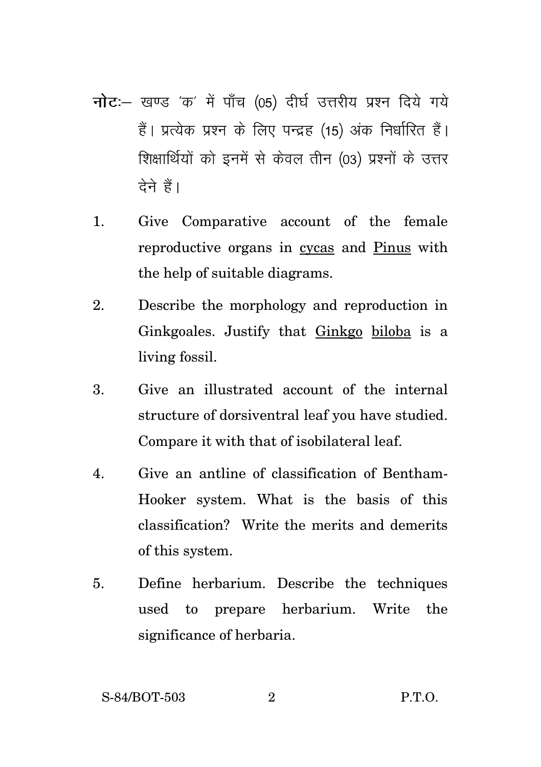- नोट :- खण्ड 'क' में पाँच (05) दीर्घ उत्तरीय प्रश्न दिये गये हैं। प्रत्येक प्रश्न के लिए पन्द्रह (15) अंक निर्धारित हैं। शिक्षार्थियों को इनमें से केवल तीन (03) प्रश्नों के उत्तर टेने हैं।
- 1. Give Comparative account of the female reproductive organs in cycas and Pinus with the help of suitable diagrams.
- 2. Describe the morphology and reproduction in Ginkgoales. Justify that Ginkgo biloba is a living fossil.
- 3. Give an illustrated account of the internal structure of dorsiventral leaf you have studied. Compare it with that of isobilateral leaf.
- 4. Give an antline of classification of Bentham-Hooker system. What is the basis of this classification? Write the merits and demerits of this system.
- 5. Define herbarium. Describe the techniques used to prepare herbarium. Write the significance of herbaria.

S-84/BOT-503 2 P.T.O.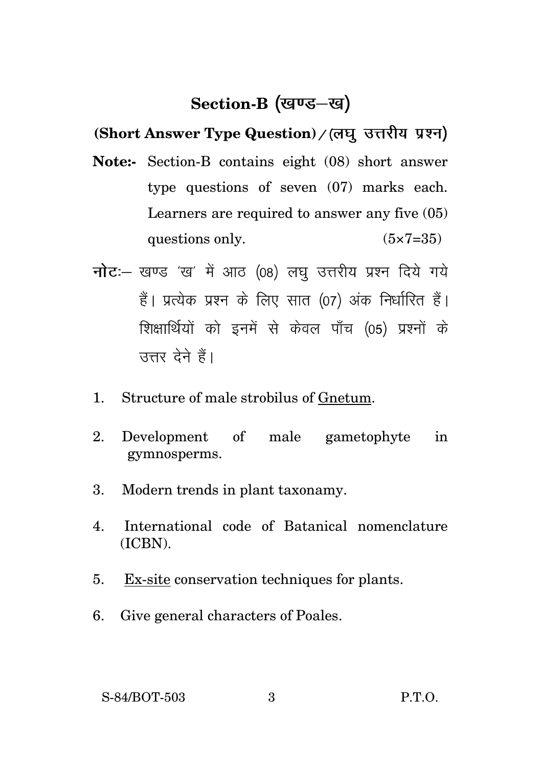# Section-B (खण्ड–ख)

**(Short Answer Type Question)**

- **Note:-** Section-B contains eight (08) short answer type questions of seven (07) marks each. Learners are required to answer any five (05) questions only.  $(5 \times 7 = 35)$
- नोट :- खण्ड 'ख' में आठ (08) लघु उत्तरीय प्रश्न दिये गये हैं। प्रत्येक प्रश्न के लिए सात (07) अंक निर्धारित हैं। शिक्षार्थियों को इनमें से केवल पाँच (05) प्रश्नों के उत्तर देने हैं।
- 1. Structure of male strobilus of Gnetum.
- 2. Development of male gametophyte in gymnosperms.
- 3. Modern trends in plant taxonamy.
- 4. International code of Batanical nomenclature (ICBN).
- 5. Ex-site conservation techniques for plants.
- 6. Give general characters of Poales.

S-84/BOT-503 3 P.T.O.